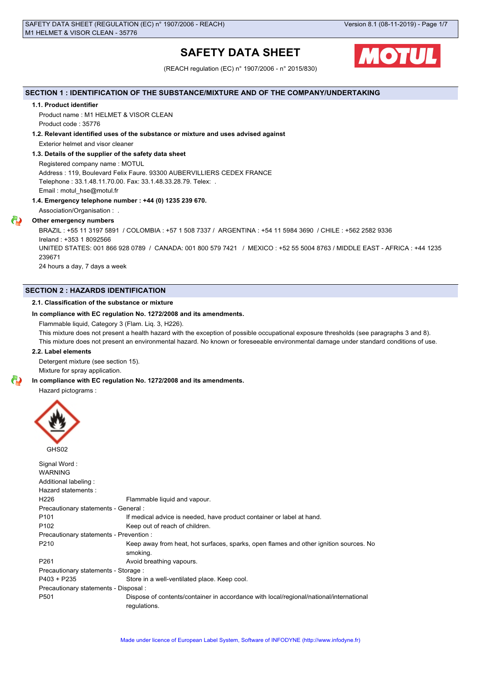# **SAFETY DATA SHEET**



(REACH regulation (EC) n° 1907/2006 - n° 2015/830)

# **SECTION 1 : IDENTIFICATION OF THE SUBSTANCE/MIXTURE AND OF THE COMPANY/UNDERTAKING**

# **1.1. Product identifier**

Product name : M1 HELMET & VISOR CLEAN Product code : 35776

# **1.2. Relevant identified uses of the substance or mixture and uses advised against**

Exterior helmet and visor cleaner

# **1.3. Details of the supplier of the safety data sheet**

Registered company name : MOTUL Address : 119, Boulevard Felix Faure. 93300 AUBERVILLIERS CEDEX FRANCE Telephone : 33.1.48.11.70.00. Fax: 33.1.48.33.28.79. Telex: . Email : motul\_hse@motul.fr

# **1.4. Emergency telephone number : +44 (0) 1235 239 670.**

Association/Organisation : .

# **Other emergency numbers**

BRAZIL : +55 11 3197 5891 / COLOMBIA : +57 1 508 7337 / ARGENTINA : +54 11 5984 3690 / CHILE : +562 2582 9336 Ireland : +353 1 8092566 UNITED STATES: 001 866 928 0789 / CANADA: 001 800 579 7421 / MEXICO : +52 55 5004 8763 / MIDDLE EAST - AFRICA : +44 1235 239671 24 hours a day, 7 days a week

# **SECTION 2 : HAZARDS IDENTIFICATION**

# **2.1. Classification of the substance or mixture**

#### **In compliance with EC regulation No. 1272/2008 and its amendments.**

Flammable liquid, Category 3 (Flam. Liq. 3, H226).

This mixture does not present a health hazard with the exception of possible occupational exposure thresholds (see paragraphs 3 and 8).

This mixture does not present an environmental hazard. No known or foreseeable environmental damage under standard conditions of use.

# **2.2. Label elements**

Detergent mixture (see section 15).

Mixture for spray application.

#### **In compliance with EC regulation No. 1272/2008 and its amendments.**

Hazard pictograms :



| Signal Word:                            |                                                                                                        |  |  |  |  |  |
|-----------------------------------------|--------------------------------------------------------------------------------------------------------|--|--|--|--|--|
| <b>WARNING</b>                          |                                                                                                        |  |  |  |  |  |
| Additional labeling:                    |                                                                                                        |  |  |  |  |  |
| Hazard statements:                      |                                                                                                        |  |  |  |  |  |
| H <sub>226</sub>                        | Flammable liquid and vapour.                                                                           |  |  |  |  |  |
| Precautionary statements - General :    |                                                                                                        |  |  |  |  |  |
| P <sub>101</sub>                        | If medical advice is needed, have product container or label at hand.                                  |  |  |  |  |  |
| P <sub>102</sub>                        | Keep out of reach of children.                                                                         |  |  |  |  |  |
| Precautionary statements - Prevention : |                                                                                                        |  |  |  |  |  |
| P210                                    | Keep away from heat, hot surfaces, sparks, open flames and other ignition sources. No<br>smoking.      |  |  |  |  |  |
| P <sub>261</sub>                        | Avoid breathing vapours.                                                                               |  |  |  |  |  |
| Precautionary statements - Storage :    |                                                                                                        |  |  |  |  |  |
| $P403 + P235$                           | Store in a well-ventilated place. Keep cool.                                                           |  |  |  |  |  |
| Precautionary statements - Disposal :   |                                                                                                        |  |  |  |  |  |
| P <sub>501</sub>                        | Dispose of contents/container in accordance with local/regional/national/international<br>regulations. |  |  |  |  |  |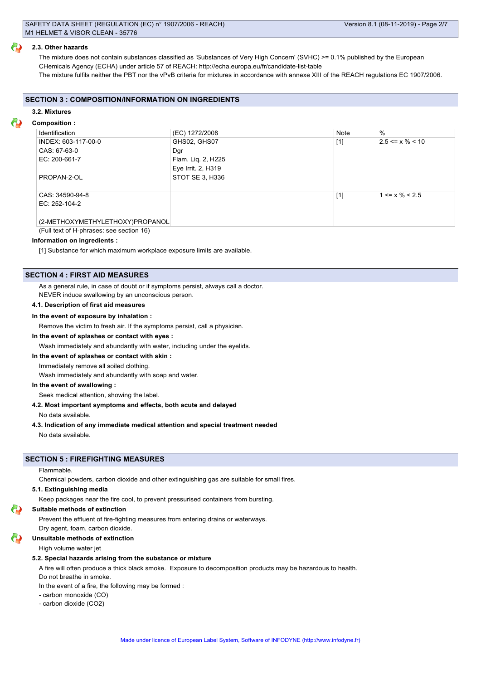#### **2.3. Other hazards**

The mixture does not contain substances classified as 'Substances of Very High Concern' (SVHC) >= 0.1% published by the European CHemicals Agency (ECHA) under article 57 of REACH: http://echa.europa.eu/fr/candidate-list-table The mixture fulfils neither the PBT nor the vPvB criteria for mixtures in accordance with annexe XIII of the REACH regulations EC 1907/2006.

#### **SECTION 3 : COMPOSITION/INFORMATION ON INGREDIENTS**

#### **3.2. Mixtures**

#### **Composition :**

| Identification                  | (EC) 1272/2008     | Note  | $\%$                  |
|---------------------------------|--------------------|-------|-----------------------|
| INDEX: 603-117-00-0             | GHS02, GHS07       | $[1]$ | $2.5 \le x \% \le 10$ |
| CAS: 67-63-0                    | Dar                |       |                       |
| EC: 200-661-7                   | Flam. Lig. 2, H225 |       |                       |
|                                 | Eye Irrit. 2, H319 |       |                       |
| PROPAN-2-OL                     | STOT SE 3, H336    |       |                       |
|                                 |                    |       |                       |
| CAS: 34590-94-8                 |                    | $[1]$ | $1 \le x \% \le 2.5$  |
| EC: 252-104-2                   |                    |       |                       |
|                                 |                    |       |                       |
| (2-METHOXYMETHYLETHOXY)PROPANOL |                    |       |                       |

(Full text of H-phrases: see section 16)

# **Information on ingredients :**

[1] Substance for which maximum workplace exposure limits are available.

#### **SECTION 4 : FIRST AID MEASURES**

As a general rule, in case of doubt or if symptoms persist, always call a doctor.

NEVER induce swallowing by an unconscious person.

# **4.1. Description of first aid measures**

#### **In the event of exposure by inhalation :**

Remove the victim to fresh air. If the symptoms persist, call a physician.

#### **In the event of splashes or contact with eyes :**

Wash immediately and abundantly with water, including under the eyelids.

#### **In the event of splashes or contact with skin :**

Immediately remove all soiled clothing.

Wash immediately and abundantly with soap and water.

# **In the event of swallowing :**

Seek medical attention, showing the label.

**4.2. Most important symptoms and effects, both acute and delayed**

No data available.

#### **4.3. Indication of any immediate medical attention and special treatment needed**

No data available.

# **SECTION 5 : FIREFIGHTING MEASURES**

# Flammable.

Chemical powders, carbon dioxide and other extinguishing gas are suitable for small fires.

#### **5.1. Extinguishing media**

Keep packages near the fire cool, to prevent pressurised containers from bursting.

## **Suitable methods of extinction**

Prevent the effluent of fire-fighting measures from entering drains or waterways.

Dry agent, foam, carbon dioxide.

### **Unsuitable methods of extinction**

High volume water jet

# **5.2. Special hazards arising from the substance or mixture**

A fire will often produce a thick black smoke. Exposure to decomposition products may be hazardous to health.

Do not breathe in smoke.

In the event of a fire, the following may be formed :

- carbon monoxide (CO)
- carbon dioxide (CO2)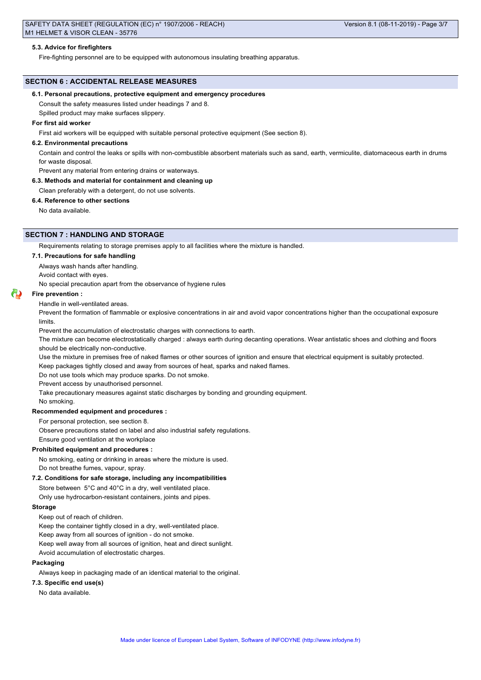#### **5.3. Advice for firefighters**

Fire-fighting personnel are to be equipped with autonomous insulating breathing apparatus.

# **SECTION 6 : ACCIDENTAL RELEASE MEASURES**

#### **6.1. Personal precautions, protective equipment and emergency procedures**

Consult the safety measures listed under headings 7 and 8.

Spilled product may make surfaces slippery.

#### **For first aid worker**

First aid workers will be equipped with suitable personal protective equipment (See section 8).

#### **6.2. Environmental precautions**

Contain and control the leaks or spills with non-combustible absorbent materials such as sand, earth, vermiculite, diatomaceous earth in drums for waste disposal.

Prevent any material from entering drains or waterways.

#### **6.3. Methods and material for containment and cleaning up**

Clean preferably with a detergent, do not use solvents.

#### **6.4. Reference to other sections**

No data available.

# **SECTION 7 : HANDLING AND STORAGE**

Requirements relating to storage premises apply to all facilities where the mixture is handled.

#### **7.1. Precautions for safe handling**

Always wash hands after handling.

Avoid contact with eyes.

No special precaution apart from the observance of hygiene rules

#### **Fire prevention :**

#### Handle in well-ventilated areas.

Prevent the formation of flammable or explosive concentrations in air and avoid vapor concentrations higher than the occupational exposure limits.

Prevent the accumulation of electrostatic charges with connections to earth.

The mixture can become electrostatically charged : always earth during decanting operations. Wear antistatic shoes and clothing and floors should be electrically non-conductive.

Use the mixture in premises free of naked flames or other sources of ignition and ensure that electrical equipment is suitably protected.

Keep packages tightly closed and away from sources of heat, sparks and naked flames.

Do not use tools which may produce sparks. Do not smoke.

Prevent access by unauthorised personnel.

Take precautionary measures against static discharges by bonding and grounding equipment.

# No smoking.

**Recommended equipment and procedures :**

For personal protection, see section 8.

Observe precautions stated on label and also industrial safety regulations.

Ensure good ventilation at the workplace

# **Prohibited equipment and procedures :**

No smoking, eating or drinking in areas where the mixture is used.

Do not breathe fumes, vapour, spray.

### **7.2. Conditions for safe storage, including any incompatibilities**

Store between 5°C and 40°C in a dry, well ventilated place.

Only use hydrocarbon-resistant containers, joints and pipes.

#### **Storage**

Keep out of reach of children.

Keep the container tightly closed in a dry, well-ventilated place.

Keep away from all sources of ignition - do not smoke.

Keep well away from all sources of ignition, heat and direct sunlight.

Avoid accumulation of electrostatic charges.

#### **Packaging**

Always keep in packaging made of an identical material to the original.

#### **7.3. Specific end use(s)**

No data available.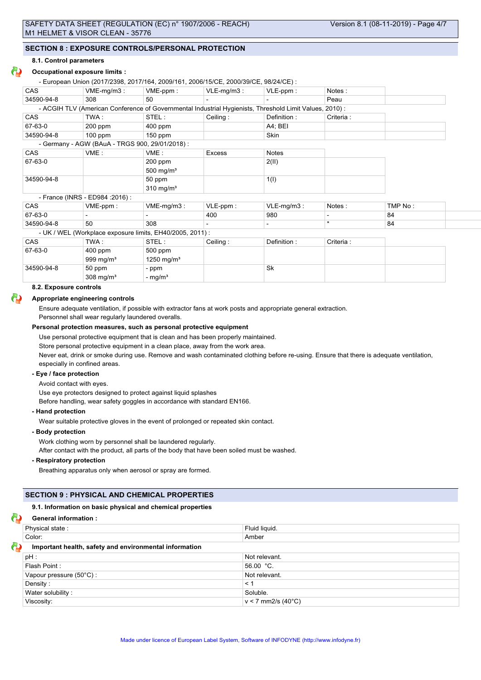# **SECTION 8 : EXPOSURE CONTROLS/PERSONAL PROTECTION**

#### **8.1. Control parameters**

# **Occupational exposure limits :**

- European Union (2017/2398, 2017/164, 2009/161, 2006/15/CE, 2000/39/CE, 98/24/CE) :

| <b>CAS</b> | $VME-mq/m3$ :                                                                                          | $VME-ppm$ :             | $VLE-mq/m3$ : | $VLE-ppm$ :   | Notes:     |         |
|------------|--------------------------------------------------------------------------------------------------------|-------------------------|---------------|---------------|------------|---------|
| 34590-94-8 | 308                                                                                                    | 50                      |               |               | Peau       |         |
|            | - ACGIH TLV (American Conference of Governmental Industrial Hygienists, Threshold Limit Values, 2010): |                         |               |               |            |         |
| <b>CAS</b> | TWA :                                                                                                  | STEL:                   | Ceiling:      | Definition:   | Criteria : |         |
| 67-63-0    | $200$ ppm                                                                                              | $400$ ppm               |               | A4; BEI       |            |         |
| 34590-94-8 | $100$ ppm                                                                                              | $150$ ppm               |               | <b>Skin</b>   |            |         |
|            | - Germany - AGW (BAuA - TRGS 900, 29/01/2018) :                                                        |                         |               |               |            |         |
| <b>CAS</b> | VME:                                                                                                   | VME:                    | Excess        | Notes         |            |         |
| 67-63-0    |                                                                                                        | $200$ ppm               |               | 2(II)         |            |         |
|            |                                                                                                        | 500 mg/m $3$            |               |               |            |         |
| 34590-94-8 |                                                                                                        | 50 ppm                  |               | 1(1)          |            |         |
|            |                                                                                                        | $310$ mg/m <sup>3</sup> |               |               |            |         |
|            | - France (INRS - ED984 : 2016) :                                                                       |                         |               |               |            |         |
| <b>CAS</b> | VME-ppm:                                                                                               | $VME-mq/m3$ :           | $VLE-ppm$ :   | $VLE-mg/m3$ : | Notes:     | TMP No: |
| 67-63-0    |                                                                                                        |                         | 400           | 980           |            | 84      |
| 34590-94-8 | 50                                                                                                     | 308                     |               |               | $\star$    | 84      |
|            | - UK / WEL (Workplace exposure limits, EH40/2005, 2011) :                                              |                         |               |               |            |         |
| <b>CAS</b> | TWA:                                                                                                   | STEL:                   | Ceiling:      | Definition:   | Criteria : |         |

| $IVY$ $\sim$         | 515.                   | Celling.    |    | UILCIA. |  |
|----------------------|------------------------|-------------|----|---------|--|
| 400 ppm              | 500 ppm                |             |    |         |  |
| 999 mg/m $3$         | 1250 mg/m <sup>3</sup> |             |    |         |  |
| 50 ppm               | - ppm                  |             | Sk |         |  |
| $308 \text{ mg/m}^3$ |                        |             |    |         |  |
|                      |                        | - mg/m $^3$ |    | P       |  |

#### **8.2. Exposure controls**

#### **Appropriate engineering controls**

Ensure adequate ventilation, if possible with extractor fans at work posts and appropriate general extraction.

Personnel shall wear regularly laundered overalls.

#### **Personal protection measures, such as personal protective equipment**

Use personal protective equipment that is clean and has been properly maintained.

Store personal protective equipment in a clean place, away from the work area.

Never eat, drink or smoke during use. Remove and wash contaminated clothing before re-using. Ensure that there is adequate ventilation, especially in confined areas.

# **- Eye / face protection**

Avoid contact with eyes.

Use eye protectors designed to protect against liquid splashes

Before handling, wear safety goggles in accordance with standard EN166.

#### **- Hand protection**

Wear suitable protective gloves in the event of prolonged or repeated skin contact.

#### **- Body protection**

Work clothing worn by personnel shall be laundered regularly.

After contact with the product, all parts of the body that have been soiled must be washed.

#### **- Respiratory protection**

Breathing apparatus only when aerosol or spray are formed.

# **SECTION 9 : PHYSICAL AND CHEMICAL PROPERTIES**

#### **9.1. Information on basic physical and chemical properties**

| <b>General information:</b>                            |                      |  |  |  |
|--------------------------------------------------------|----------------------|--|--|--|
| Physical state:                                        | Fluid liquid.        |  |  |  |
| Color:                                                 | Amber                |  |  |  |
| Important health, safety and environmental information |                      |  |  |  |
| $pH$ :                                                 | Not relevant.        |  |  |  |
| Flash Point:                                           | 56.00 °C.            |  |  |  |
| Vapour pressure (50°C):                                | Not relevant.        |  |  |  |
| Density:                                               | $\leq$ 1             |  |  |  |
| Water solubility:                                      | Soluble.             |  |  |  |
| Viscosity:                                             | $v < 7$ mm2/s (40°C) |  |  |  |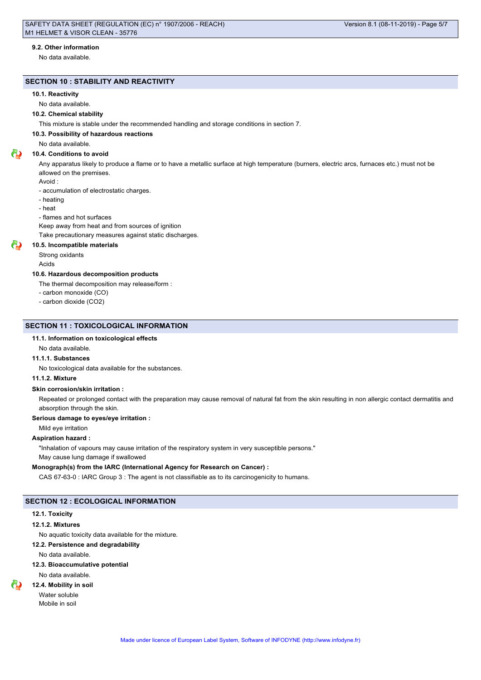#### **9.2. Other information**

No data available.

# **SECTION 10 : STABILITY AND REACTIVITY**

#### **10.1. Reactivity**

No data available.

# **10.2. Chemical stability**

This mixture is stable under the recommended handling and storage conditions in section 7.

#### **10.3. Possibility of hazardous reactions**

No data available.

# **10.4. Conditions to avoid**

Any apparatus likely to produce a flame or to have a metallic surface at high temperature (burners, electric arcs, furnaces etc.) must not be allowed on the premises.

Avoid :

- accumulation of electrostatic charges.
- heating
- heat
- flames and hot surfaces

Keep away from heat and from sources of ignition

Take precautionary measures against static discharges.

#### **10.5. Incompatible materials**

Strong oxidants

Acids

# **10.6. Hazardous decomposition products**

The thermal decomposition may release/form :

- carbon monoxide (CO)
- carbon dioxide (CO2)

#### **SECTION 11 : TOXICOLOGICAL INFORMATION**

#### **11.1. Information on toxicological effects**

No data available.

### **11.1.1. Substances**

No toxicological data available for the substances.

#### **11.1.2. Mixture**

#### **Skin corrosion/skin irritation :**

Repeated or prolonged contact with the preparation may cause removal of natural fat from the skin resulting in non allergic contact dermatitis and absorption through the skin.

#### **Serious damage to eyes/eye irritation :**

Mild eye irritation

### **Aspiration hazard :**

"Inhalation of vapours may cause irritation of the respiratory system in very susceptible persons."

May cause lung damage if swallowed

# **Monograph(s) from the IARC (International Agency for Research on Cancer) :**

CAS 67-63-0 : IARC Group 3 : The agent is not classifiable as to its carcinogenicity to humans.

# **SECTION 12 : ECOLOGICAL INFORMATION**

#### **12.1. Toxicity**

# **12.1.2. Mixtures**

No aquatic toxicity data available for the mixture.

# **12.2. Persistence and degradability**

No data available.

# **12.3. Bioaccumulative potential**

No data available.

#### **12.4. Mobility in soil**

Water soluble Mobile in soil

Made under licence of European Label System, Software of INFODYNE (http://www.infodyne.fr)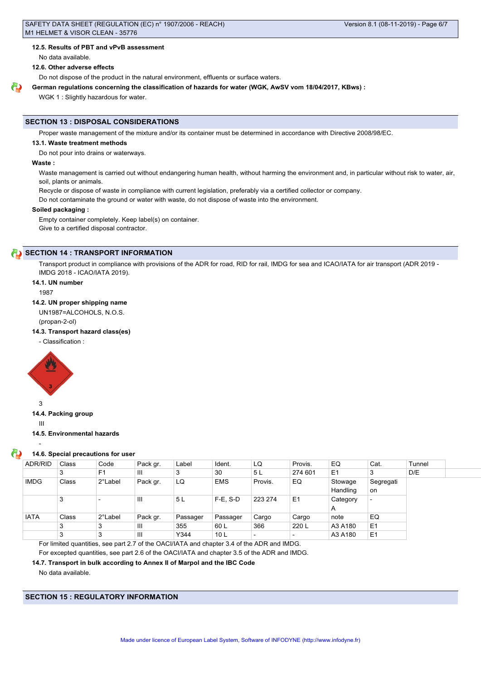#### **12.5. Results of PBT and vPvB assessment**

No data available.

# **12.6. Other adverse effects**

Do not dispose of the product in the natural environment, effluents or surface waters.

#### **German regulations concerning the classification of hazards for water (WGK, AwSV vom 18/04/2017, KBws) :**

WGK 1 : Slightly hazardous for water.

#### **SECTION 13 : DISPOSAL CONSIDERATIONS**

Proper waste management of the mixture and/or its container must be determined in accordance with Directive 2008/98/EC.

#### **13.1. Waste treatment methods**

Do not pour into drains or waterways.

#### **Waste :**

Waste management is carried out without endangering human health, without harming the environment and, in particular without risk to water, air, soil, plants or animals.

Recycle or dispose of waste in compliance with current legislation, preferably via a certified collector or company.

Do not contaminate the ground or water with waste, do not dispose of waste into the environment.

## **Soiled packaging :**

Empty container completely. Keep label(s) on container. Give to a certified disposal contractor.

# **SECTION 14 : TRANSPORT INFORMATION**

Transport product in compliance with provisions of the ADR for road, RID for rail, IMDG for sea and ICAO/IATA for air transport (ADR 2019 - IMDG 2018 - ICAO/IATA 2019).

#### **14.1. UN number**

1987

#### **14.2. UN proper shipping name**

UN1987=ALCOHOLS, N.O.S. (propan-2-ol)

# **14.3. Transport hazard class(es)**

- Classification :



3

-

**14.4. Packing group**

III

**14.5. Environmental hazards**

#### **14.6. Special precautions for user**

| ADR/RID     | Class | Code                     | Pack gr. | Label    | Ident.          | LQ      | Provis.        | EQ             | Cat.           | Tunnel |  |
|-------------|-------|--------------------------|----------|----------|-----------------|---------|----------------|----------------|----------------|--------|--|
|             | 3     | F <sub>1</sub>           | Ш        | 3        | 30              | 5L      | 274 601        | E <sub>1</sub> | っ<br>J         | D/E    |  |
| <b>IMDG</b> | Class | 2°Label                  | Pack gr. | LQ       | <b>EMS</b>      | Provis. | EQ             | Stowage        | Segregati      |        |  |
|             |       |                          |          |          |                 |         |                | Handling       | <b>on</b>      |        |  |
|             | 3     | $\overline{\phantom{0}}$ | Ш        | 5L       | $F-E. S-D$      | 223 274 | E <sub>1</sub> | Category       | $\overline{a}$ |        |  |
|             |       |                          |          |          |                 |         |                | A              |                |        |  |
| <b>IATA</b> | Class | 2°Label                  | Pack gr. | Passager | Passager        | Cargo   | Cargo          | note           | EQ             |        |  |
|             | 3     | 3                        | Ш        | 355      | 60 L            | 366     | 220 L          | A3 A180        | E <sub>1</sub> |        |  |
|             | 3     | 3                        | Ш        | Y344     | 10 <sub>L</sub> |         |                | A3 A180        | E <sub>1</sub> |        |  |

For limited quantities, see part 2.7 of the OACI/IATA and chapter 3.4 of the ADR and IMDG.

For excepted quantities, see part 2.6 of the OACI/IATA and chapter 3.5 of the ADR and IMDG.

#### **14.7. Transport in bulk according to Annex II of Marpol and the IBC Code**

No data available.

**SECTION 15 : REGULATORY INFORMATION**